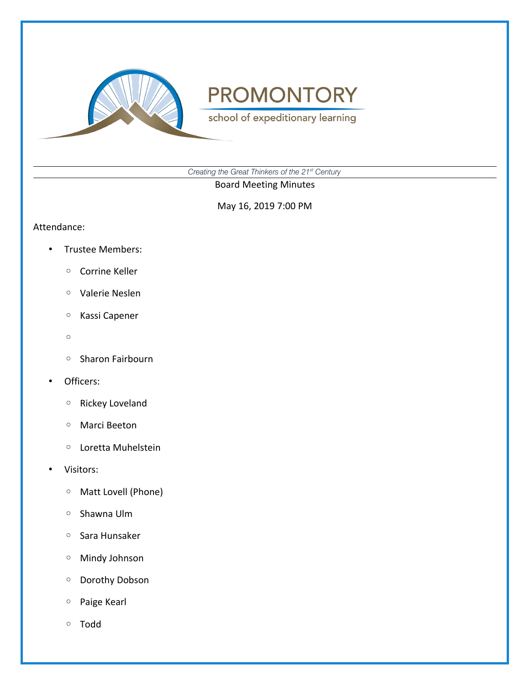

school of expeditionary learning

*Creating the Great Thinkers of the 21st Century*

Board Meeting Minutes

May 16, 2019 7:00 PM

#### Attendance:

- Trustee Members:
	- Corrine Keller
	- Valerie Neslen
	- Kassi Capener
	- $\circ$
	- Sharon Fairbourn
- Officers:
	- Rickey Loveland
	- Marci Beeton
	- Loretta Muhelstein
- Visitors:
	- Matt Lovell (Phone)
	- Shawna Ulm
	- Sara Hunsaker
	- Mindy Johnson
	- Dorothy Dobson
	- Paige Kearl
	- Todd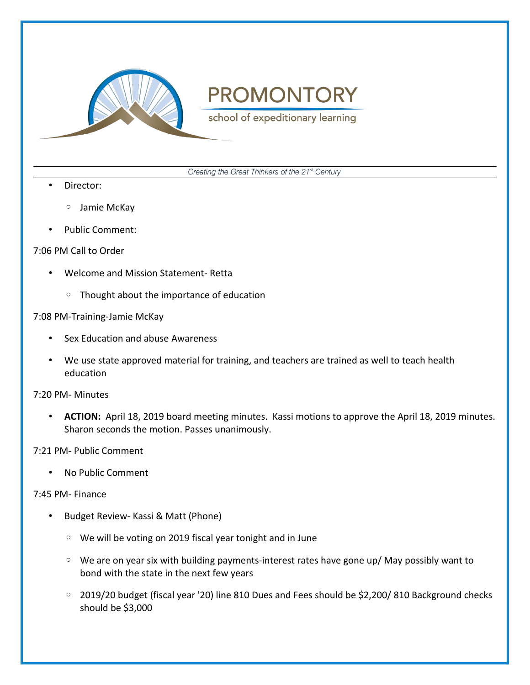

school of expeditionary learning

*Creating the Great Thinkers of the 21st Century*

- Director:
	- Jamie McKay
- Public Comment:

### 7:06 PM Call to Order

- Welcome and Mission Statement- Retta
	- Thought about the importance of education

### 7:08 PM-Training-Jamie McKay

- Sex Education and abuse Awareness
- We use state approved material for training, and teachers are trained as well to teach health education

7:20 PM- Minutes

• **ACTION:** April 18, 2019 board meeting minutes. Kassi motions to approve the April 18, 2019 minutes. Sharon seconds the motion. Passes unanimously.

7:21 PM- Public Comment

• No Public Comment

### 7:45 PM- Finance

- Budget Review- Kassi & Matt (Phone)
	- We will be voting on 2019 fiscal year tonight and in June
	- We are on year six with building payments-interest rates have gone up/ May possibly want to bond with the state in the next few years
	- 2019/20 budget (fiscal year '20) line 810 Dues and Fees should be \$2,200/ 810 Background checks should be \$3,000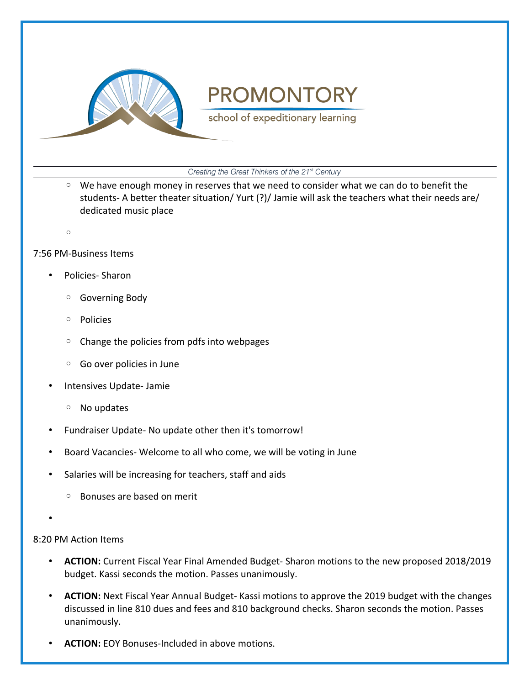

school of expeditionary learning

*Creating the Great Thinkers of the 21st Century*

- We have enough money in reserves that we need to consider what we can do to benefit the students- A better theater situation/ Yurt (?)/ Jamie will ask the teachers what their needs are/ dedicated music place
- $\circ$

### 7:56 PM-Business Items

- Policies- Sharon
	- Governing Body
	- Policies
	- Change the policies from pdfs into webpages
	- Go over policies in June
- Intensives Update- Jamie
	- No updates
- Fundraiser Update- No update other then it's tomorrow!
- Board Vacancies- Welcome to all who come, we will be voting in June
- Salaries will be increasing for teachers, staff and aids
	- Bonuses are based on merit
- •

### 8:20 PM Action Items

- **ACTION:** Current Fiscal Year Final Amended Budget- Sharon motions to the new proposed 2018/2019 budget. Kassi seconds the motion. Passes unanimously.
- **ACTION:** Next Fiscal Year Annual Budget- Kassi motions to approve the 2019 budget with the changes discussed in line 810 dues and fees and 810 background checks. Sharon seconds the motion. Passes unanimously.
- **ACTION:** EOY Bonuses-Included in above motions.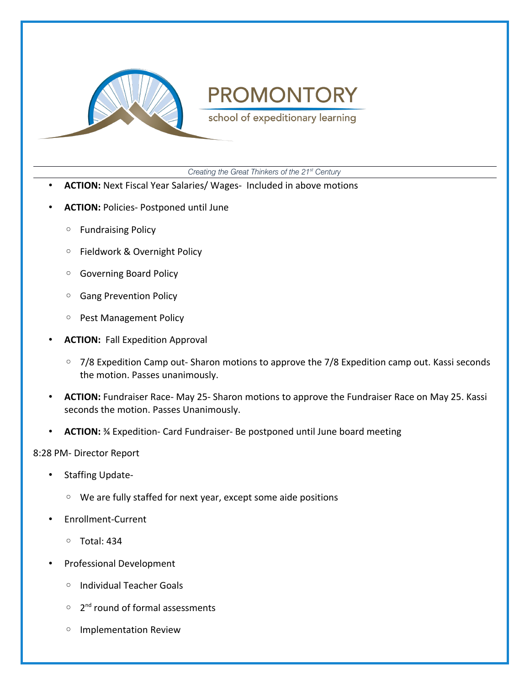

school of expeditionary learning

*Creating the Great Thinkers of the 21st Century*

- **ACTION:** Next Fiscal Year Salaries/ Wages- Included in above motions
- **ACTION:** Policies- Postponed until June
	- Fundraising Policy
	- Fieldwork & Overnight Policy
	- Governing Board Policy
	- Gang Prevention Policy
	- Pest Management Policy
- **ACTION:** Fall Expedition Approval
	- 7/8 Expedition Camp out- Sharon motions to approve the 7/8 Expedition camp out. Kassi seconds the motion. Passes unanimously.
- **ACTION:** Fundraiser Race- May 25- Sharon motions to approve the Fundraiser Race on May 25. Kassi seconds the motion. Passes Unanimously.
- **ACTION:** ¾ Expedition- Card Fundraiser- Be postponed until June board meeting

#### 8:28 PM- Director Report

- Staffing Update-
	- We are fully staffed for next year, except some aide positions
- Enrollment-Current
	- Total: 434
- Professional Development
	- Individual Teacher Goals
	- 2<sup>nd</sup> round of formal assessments
	- Implementation Review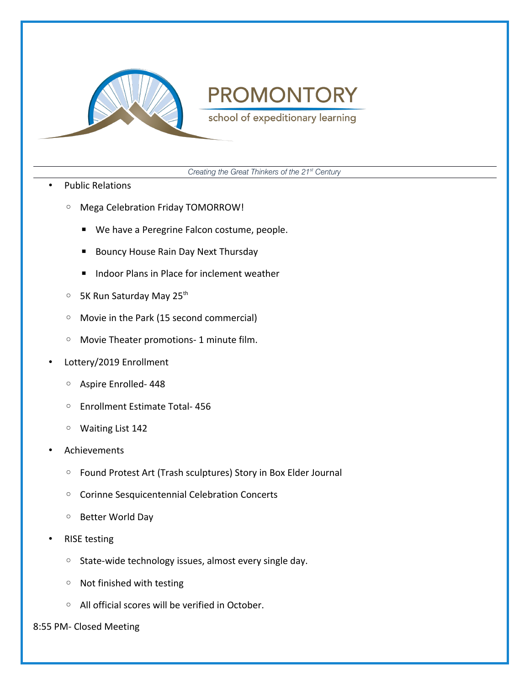

school of expeditionary learning

*Creating the Great Thinkers of the 21st Century*

- Public Relations
	- Mega Celebration Friday TOMORROW!
		- We have a Peregrine Falcon costume, people.
		- Bouncy House Rain Day Next Thursday
		- Indoor Plans in Place for inclement weather
	- 5K Run Saturday May 25th
	- Movie in the Park (15 second commercial)
	- Movie Theater promotions- 1 minute film.
- Lottery/2019 Enrollment
	- Aspire Enrolled- 448
	- Enrollment Estimate Total- 456
	- Waiting List 142
- Achievements
	- Found Protest Art (Trash sculptures) Story in Box Elder Journal
	- Corinne Sesquicentennial Celebration Concerts
	- Better World Day
- RISE testing
	- State-wide technology issues, almost every single day.
	- Not finished with testing
	- All official scores will be verified in October.

#### 8:55 PM- Closed Meeting